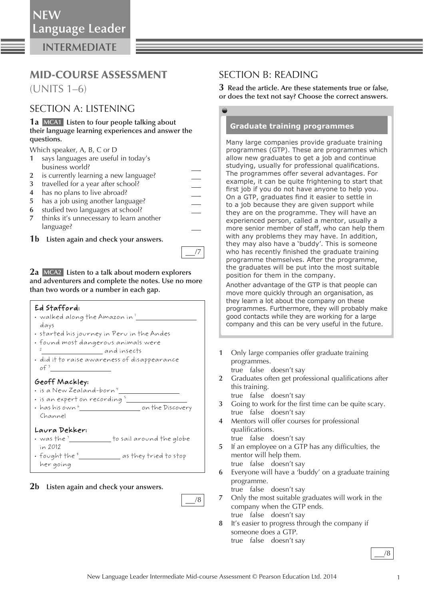**INTERMEDIATE**

# MID-COURSE ASSESSMENT

(UNITS 1–6)

## SECTION A: LISTENING

**1a MCA1 Listen to four people talking about their language learning experiences and answer the questions.** 

Which speaker, A, B, C or D

- **1** says languages are useful in today's business world?
- **2** is currently learning a new language?
- **3** travelled for a year after school?
- **4** has no plans to live abroad?
- **5** has a job using another language?
- $\frac{-}{1}$  **6** studied two languages at school?
- **7** thinks it's unnecessary to learn another language?
- **1b Listen again and check your answers.**

**2a MCA2 Listen to a talk about modern explorers and adventurers and complete the notes. Use no more than two words or a number in each gap.** 

#### Ed Stafford:

- $\cdot \,$  walked along the Amazon in  $^1$ days
- started his journey in Peru in the Andes
- found most dangerous animals were 2 and insects
- did it to raise awareness of disappearance of  $\frac{3}{2}$

## Geoff Mackley:

- $\cdot$  is a New Zealand-born" $\_$
- is an expert on recording 5
- has his own  $^6$  on the Discovery Channel

#### Laura Dekker:

- $\cdot$  was the  $^7$   $\qquad \qquad$  to sail around the globe in 2012
- fought the  $^s$  as they tried to stop her going

## **2b Listen again and check your answers.**

SECTION B: READING

**3 Read the article. Are these statements true or false, or does the text not say? Choose the correct answers.** 

**Graduate training programmes** 

Many large companies provide graduate training programmes (GTP). These are programmes which allow new graduates to get a job and continue studying, usually for professional qualifications. The programmes offer several advantages. For example, it can be quite frightening to start that first job if you do not have anyone to help you. On a GTP, graduates find it easier to settle in to a job because they are given support while they are on the programme. They will have an experienced person, called a mentor, usually a more senior member of staff, who can help them with any problems they may have. In addition, they may also have a 'buddy'. This is someone who has recently finished the graduate training programme themselves. After the programme, the graduates will be put into the most suitable position for them in the company.

Another advantage of the GTP is that people can move more quickly through an organisation, as they learn a lot about the company on these programmes. Furthermore, they will probably make good contacts while they are working for a large company and this can be very useful in the future.

 **1** Only large companies offer graduate training programmes.

true false doesn't say

- 2 Graduates often get professional qualifications after this training.
	- true false doesn't say
- **3** Going to work for the first time can be quite scary. true false doesn't say
- **4** Mentors will offer courses for professional qualifications.
	- true false doesn't say
- **5** If an employee on a GTP has any difficulties, the mentor will help them. true false doesn't say
- **6** Everyone will have a 'buddy' on a graduate training programme.
- true false doesn't say  **7** Only the most suitable graduates will work in the company when the GTP ends.
- true false doesn't say
- **8** It's easier to progress through the company if someone does a GTP. true false doesn't say

/8

/8

/7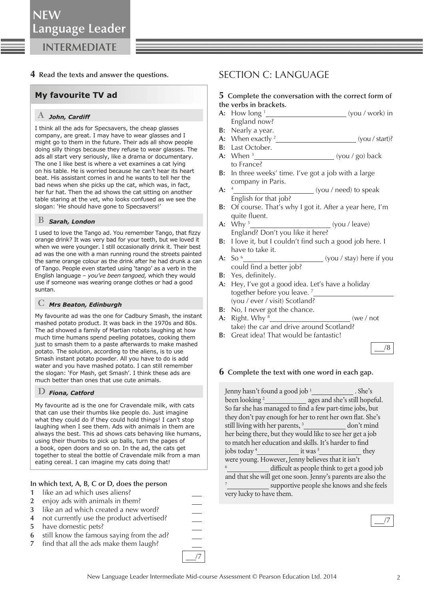## **4 Read the texts and answer the questions.**

## **My favourite TV ad**

## A *John, Cardiff*

I think all the ads for Specsavers, the cheap glasses company, are great. I may have to wear glasses and I might go to them in the future. Their ads all show people doing silly things because they refuse to wear glasses. The ads all start very seriously, like a drama or documentary. The one I like best is where a vet examines a cat lying on his table. He is worried because he can't hear its heart beat. His assistant comes in and he wants to tell her the bad news when she picks up the cat, which was, in fact, her fur hat. Then the ad shows the cat sitting on another table staring at the vet, who looks confused as we see the slogan: 'He should have gone to Specsavers!'

### B *Sarah, London*

I used to love the Tango ad. You remember Tango, that fizzy orange drink? It was very bad for your teeth, but we loved it when we were younger. I still occasionally drink it. Their best ad was the one with a man running round the streets painted the same orange colour as the drink after he had drunk a can of Tango. People even started using 'tango' as a verb in the English language – *you've been tangoed,* which they would use if someone was wearing orange clothes or had a good suntan.

## C *Mrs Beaton, Edinburgh*

My favourite ad was the one for Cadbury Smash, the instant mashed potato product. It was back in the 1970s and 80s. The ad showed a family of Martian robots laughing at how much time humans spend peeling potatoes, cooking them just to smash them to a paste afterwards to make mashed potato. The solution, according to the aliens, is to use Smash instant potato powder. All you have to do is add water and you have mashed potato. I can still remember the slogan: 'For Mash, get Smash'. I think these ads are much better than ones that use cute animals.

### D *Fiona, Catford*

My favourite ad is the one for Cravendale milk, with cats that can use their thumbs like people do. Just imagine what they could do if they could hold things! I can't stop laughing when I see them. Ads with animals in them are always the best. This ad shows cats behaving like humans, using their thumbs to pick up balls, turn the pages of a book, open doors and so on. In the ad, the cats get together to steal the bottle of Cravendale milk from a man eating cereal. I can imagine my cats doing that!

#### **In which text, A, B, C or D, does the person**

- **1** like an ad which uses aliens?
- **2** enjoy ads with animals in them?
- **3** like an ad which created a new word?
- **4** not currently use the product advertised?
- **5** have domestic pets?
- **6** still know the famous saying from the ad?
- **7** find that all the ads make them laugh?

## SECTION C: LANGUAGE

#### **5 Complete the conversation with the correct form of the verbs in brackets.**

- **A:** How long 1 (you / work) in England now?
- **B:** Nearly a year.
- **A:** When exactly 2 (you / start)?
- **B:** Last October. **A:** When 3 (you / go) back to France?
- **B:** In three weeks' time. I've got a job with a large company in Paris.
- $A: \quad 4$ (you / need) to speak English for that job?
- **B:** Of course. That's why I got it. After a year here, I'm quite fluent.
- **A:** Why 5 (you / leave) England? Don't you like it here?
- **B:** I love it, but I couldn't find such a good job here. I have to take it.
- **A:** So 6 (you / stay) here if you could find a better job?
- **B:** Yes, definitely.
- **A:** Hey, I've got a good idea. Let's have a holiday together before you leave. 7  (you / ever / visit) Scotland?
- **B:** No, I never got the chance.
- **A:** Right. Why 8 (we / not take) the car and drive around Scotland?
- **B:** Great idea! That would be fantastic!

## /8

#### **6 Complete the text with one word in each gap.**

Jenny hasn't found a good job 1 . She's been looking  $\frac{2}{2}$  ages and she's still hopeful. So far she has managed to find a few part-time jobs, but they don't pay enough for her to rent her own flat. She's still living with her parents, 3 don't mind her being there, but they would like to see her get a job to match her education and skills. It's harder to find jobs today <sup>4</sup>\_\_\_\_\_\_\_\_\_\_\_\_\_\_\_\_\_ it was <sup>5</sup> they were young. However, Jenny believes that it isn't 6 difficult as people think to get a good job and that she will get one soon. Jenny's parents are also the 7 supportive people she knows and she feels very lucky to have them.



—<br>
—<br>
<br>
<br>
<br>
<br>
<br>
<br><br><br><br><br><br><br><br><br><br>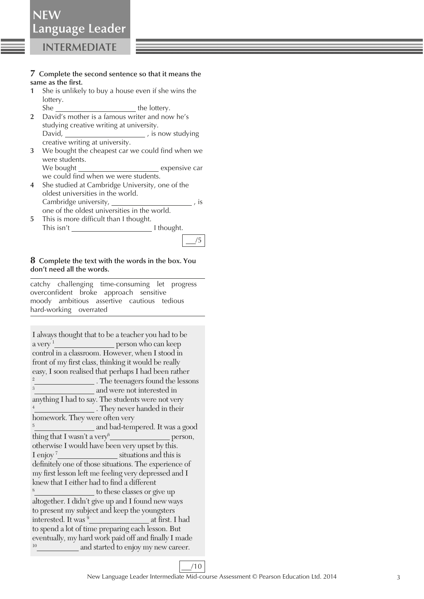#### **7 Complete the second sentence so that it means the**  same as the first.

 **1** She is unlikely to buy a house even if she wins the lottery.

She the lottery.

- **2** David's mother is a famous writer and now he's studying creative writing at university. David, , is now studying creative writing at university.
- **3** We bought the cheapest car we could find when we were students.

We bought expensive car we could find when we were students.

- **4** She studied at Cambridge University, one of the oldest universities in the world. Cambridge university, , is
- one of the oldest universities in the world. **5** This is more difficult than I thought. This isn't I thought.



#### **8 Complete the text with the words in the box. You don't need all the words.**

 catchy challenging time-consuming let progress overconfident broke approach sensitive moody ambitious assertive cautious tedious hard-working overrated

I always thought that to be a teacher you had to be a very <sup>1</sup>\_\_\_\_\_\_\_\_\_\_\_\_\_\_\_\_\_\_\_\_\_\_ person who can keep control in a classroom. However, when I stood in front of my first class, thinking it would be really easy, I soon realised that perhaps I had been rather 2 <sup>2</sup> The teenagers found the lessons *and were not interested in* anything I had to say. The students were not very 4 . They never handed in their homework. They were often very 5 and bad-tempered. It was a good thing that I wasn't a very  $6$ person, otherwise I would have been very upset by this. I enjoy<sup>7</sup> *situations* and this is definitely one of those situations. The experience of my first lesson left me feeling very depressed and I knew that I either had to find a different 8  $\_$  to these classes or give up altogether. I didn't give up and I found new ways to present my subject and keep the youngsters interested. It was <sup>9</sup> at first. I had to spend a lot of time preparing each lesson. But eventually, my hard work paid off and finally I made <sup>10</sup> \_\_\_\_\_\_\_\_\_\_\_\_ and started to enjoy my new career.

/10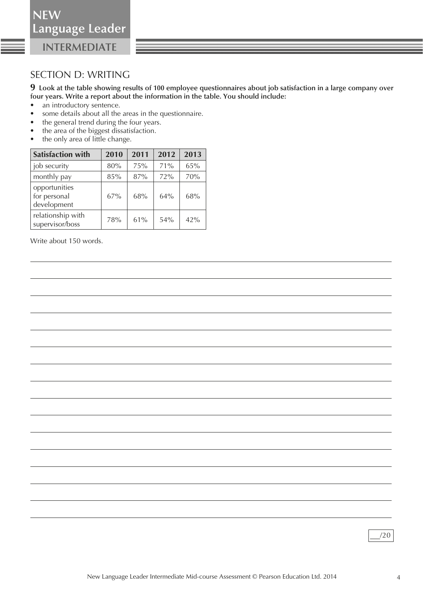**NEW**

**INTERMEDIATE**

## SECTION D: WRITING

**9 Look at the table showing results of 100 employee questionnaires about job satisfaction in a large company over four years. Write a report about the information in the table. You should include:** 

- an introductory sentence.
- some details about all the areas in the questionnaire.
- the general trend during the four years.
- the area of the biggest dissatisfaction.
- the only area of little change.

| <b>Satisfaction with</b>                     | 2010 | 2011 | 2012 | 2013 |
|----------------------------------------------|------|------|------|------|
| job security                                 | 80%  | 75%  | 71%  | 65%  |
| monthly pay                                  | 85%  | 87%  | 72%  | 70%  |
| opportunities<br>for personal<br>development | 67%  | 68%  | 64%  | 68%  |
| relationship with<br>supervisor/boss         | 78%  | 61%  | 54%  | 42%  |

Write about 150 words.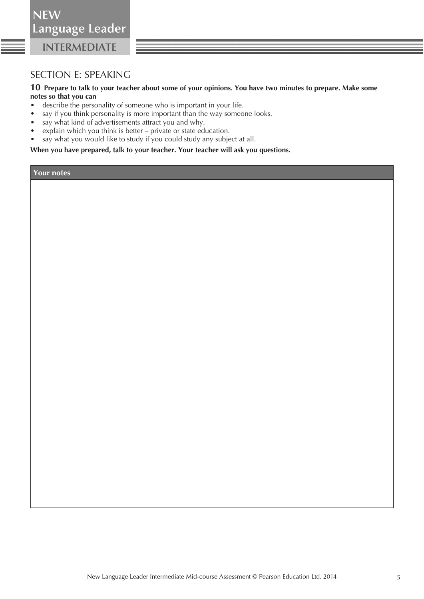SECTION E: SPEAKING

#### **10 Prepare to talk to your teacher about some of your opinions. You have two minutes to prepare. Make some notes so that you can**

- describe the personality of someone who is important in your life.
- say if you think personality is more important than the way someone looks.
- say what kind of advertisements attract you and why.
- explain which you think is better private or state education.
- say what you would like to study if you could study any subject at all.

 **When you have prepared, talk to your teacher. Your teacher will ask you questions.** 

**Your notes**